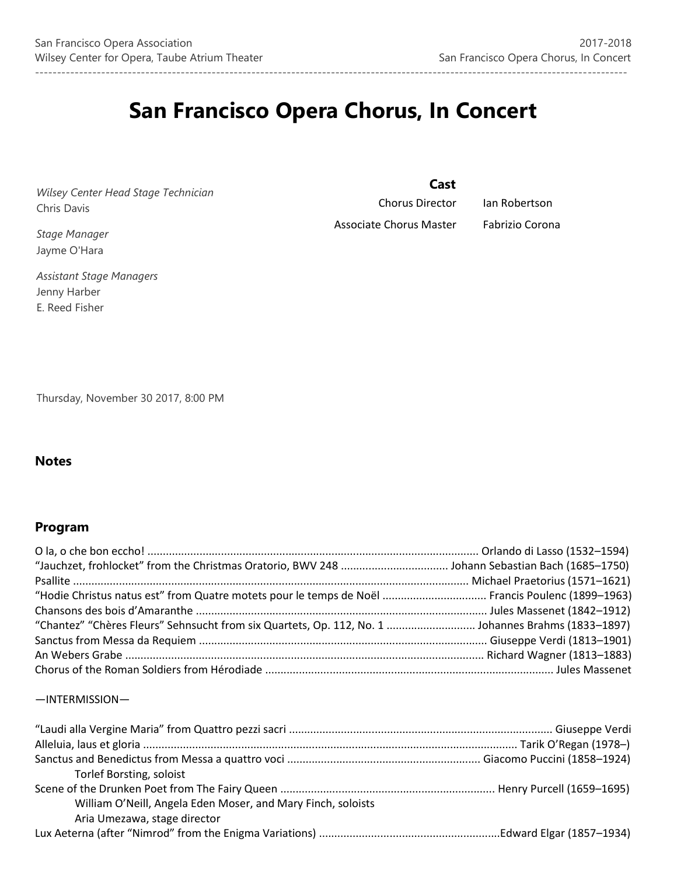# **San Francisco Opera Chorus, In Concert**

--------------------------------------------------------------------------------------------------------------------------------------

*Wilsey Center Head Stage Technician* Chris Davis

*Stage Manager* Jayme O'Hara

*Assistant Stage Managers* Jenny Harber E. Reed Fisher

 **Cast**

Associate Chorus Master Fabrizio Corona

Chorus Director Ian Robertson

Thursday, November 30 2017, 8:00 PM

# **Notes**

# **Program**

| "Hodie Christus natus est" from Quatre motets pour le temps de Noël  Francis Poulenc (1899-1963) |  |
|--------------------------------------------------------------------------------------------------|--|
|                                                                                                  |  |
|                                                                                                  |  |
|                                                                                                  |  |
|                                                                                                  |  |
|                                                                                                  |  |

## —INTERMISSION—

| <b>Torlef Borsting, soloist</b>                              |  |
|--------------------------------------------------------------|--|
|                                                              |  |
| William O'Neill, Angela Eden Moser, and Mary Finch, soloists |  |
| Aria Umezawa, stage director                                 |  |
|                                                              |  |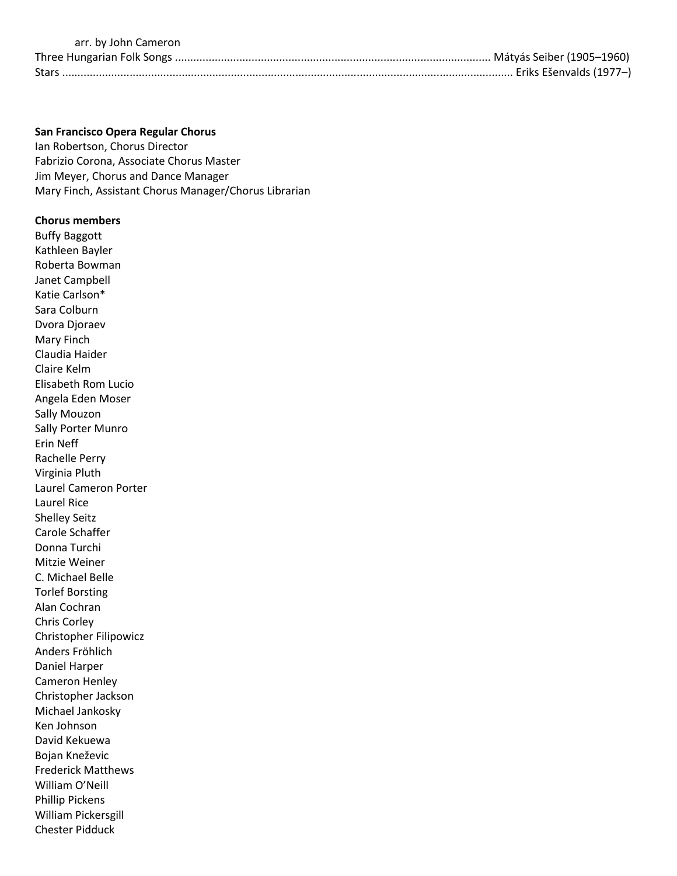#### arr. by John Cameron

## **San Francisco Opera Regular Chorus**

Ian Robertson, Chorus Director Fabrizio Corona, Associate Chorus Master Jim Meyer, Chorus and Dance Manager Mary Finch, Assistant Chorus Manager/Chorus Librarian

## **Chorus members**

Buffy Baggott Kathleen Bayler Roberta Bowman Janet Campbell Katie Carlson\* Sara Colburn Dvora Djoraev Mary Finch Claudia Haider Claire Kelm Elisabeth Rom Lucio Angela Eden Moser Sally Mouzon Sally Porter Munro Erin Neff Rachelle Perry Virginia Pluth Laurel Cameron Porter Laurel Rice Shelley Seitz Carole Schaffer Donna Turchi Mitzie Weiner C. Michael Belle Torlef Borsting Alan Cochran Chris Corley Christopher Filipowicz Anders Fröhlich Daniel Harper Cameron Henley Christopher Jackson Michael Jankosky Ken Johnson David Kekuewa Bojan Kneževic Frederick Matthews William O'Neill Phillip Pickens William Pickersgill Chester Pidduck